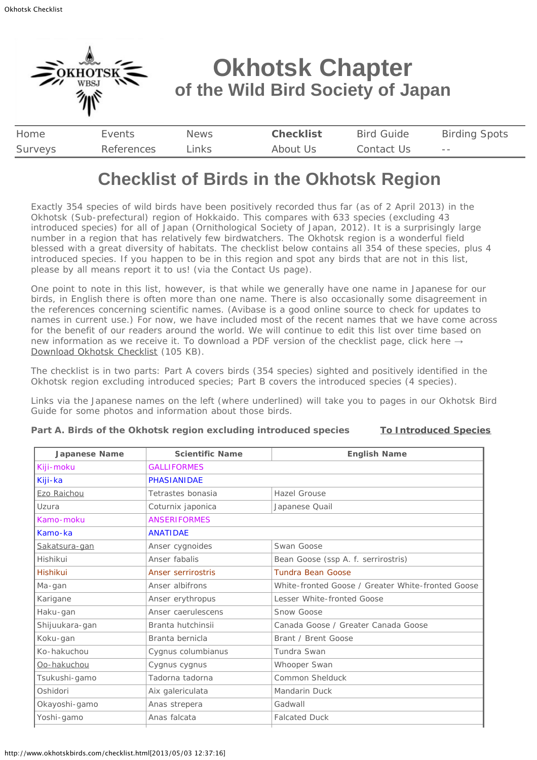<span id="page-0-0"></span>

# **Checklist of Birds in the Okhotsk Region**

Exactly 354 species of wild birds have been positively recorded thus far (as of 2 April 2013) in the Okhotsk (Sub-prefectural) region of Hokkaido. This compares with 633 species (excluding 43 introduced species) for all of Japan (Ornithological Society of Japan, 2012). It is a surprisingly large number in a region that has relatively few birdwatchers. The Okhotsk region is a wonderful field blessed with a great diversity of habitats. The checklist below contains all 354 of these species, plus 4 introduced species. If you happen to be in this region and spot any birds that are not in this list, please by all means report it to us! (via the Contact Us page).

One point to note in this list, however, is that while we generally have one name in Japanese for our birds, in English there is often more than one name. There is also occasionally some disagreement in the references concerning scientific names. (Avibase is a good online source to check for updates to names in current use.) For now, we have included most of the recent names that we have come across for the benefit of our readers around the world. We will continue to edit this list over time based on new information as we receive it. To download a PDF version of the checklist page, click here  $\rightarrow$ [Download Okhotsk Checklist](http://www.okhotskbirds.com/docs/okhotskchecklist(130402).pdf) (105 KB).

The checklist is in two parts: Part A covers birds (354 species) sighted and positively identified in the Okhotsk region excluding introduced species; Part B covers the introduced species (4 species).

Links via the Japanese names on the left (where underlined) will take you to pages in our Okhotsk Bird Guide for some photos and information about those birds.

| <b>Japanese Name</b> | <b>Scientific Name</b>                                               | <b>English Name</b>                 |  |
|----------------------|----------------------------------------------------------------------|-------------------------------------|--|
| Kiji-moku            | <b>GALLIFORMES</b>                                                   |                                     |  |
| Kiji-ka              | <b>PHASIANIDAE</b>                                                   |                                     |  |
| Ezo Raichou          | Tetrastes bonasia                                                    | Hazel Grouse                        |  |
| Uzura                | Coturnix japonica                                                    | Japanese Quail                      |  |
| Kamo-moku            | <b>ANSERIFORMES</b>                                                  |                                     |  |
| Kamo-ka              | <b>ANATIDAE</b>                                                      |                                     |  |
| Sakatsura-gan        | Anser cygnoides                                                      | Swan Goose                          |  |
| Hishikui             | Anser fabalis                                                        | Bean Goose (ssp A. f. serrirostris) |  |
| Hishikui             | <b>Tundra Bean Goose</b><br><b>Anser serrirostris</b>                |                                     |  |
| Ma-gan               | Anser albifrons<br>White-fronted Goose / Greater White-fronted Goose |                                     |  |
| Karigane             | Anser erythropus                                                     | Lesser White-fronted Goose          |  |
| Haku-gan             | Anser caerulescens                                                   | Snow Goose                          |  |
| Shijuukara-gan       | Branta hutchinsii                                                    | Canada Goose / Greater Canada Goose |  |
| Koku-gan             | Branta bernicla                                                      | Brant / Brent Goose                 |  |
| Ko-hakuchou          | Cygnus columbianus                                                   | Tundra Swan                         |  |
| Oo-hakuchou          | Cygnus cygnus                                                        | Whooper Swan                        |  |
| Tsukushi-gamo        | Tadorna tadorna                                                      | Common Shelduck                     |  |
| Oshidori             | Aix galericulata                                                     | <b>Mandarin Duck</b>                |  |
| Okayoshi-gamo        | Anas strepera                                                        | Gadwall                             |  |
| Yoshi-gamo           | Anas falcata                                                         | <b>Falcated Duck</b>                |  |
|                      |                                                                      |                                     |  |

## **Part A. Birds of the Okhotsk region excluding introduced species [To Introduced Species](#page-9-0)**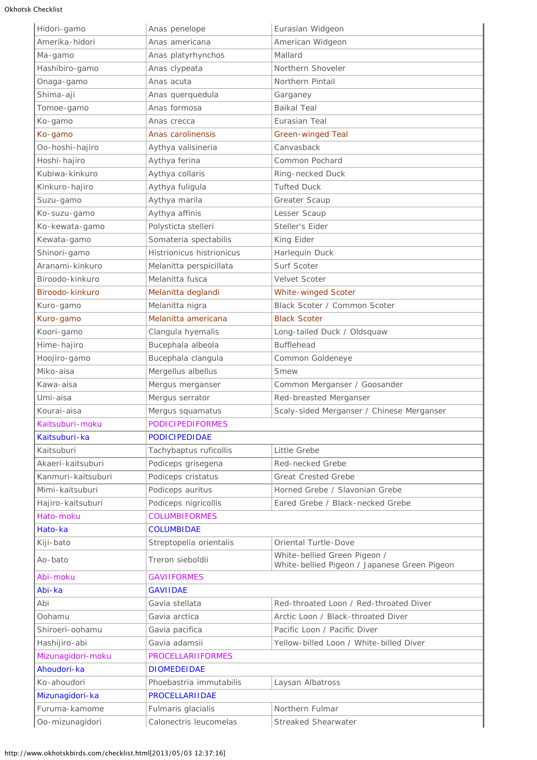| Hidori-gamo        | Anas penelope                    | Eurasian Widgeon                                                             |  |
|--------------------|----------------------------------|------------------------------------------------------------------------------|--|
| Amerika-hidori     | Anas americana                   | American Widgeon                                                             |  |
| Ma-gamo            | Anas platyrhynchos               | Mallard                                                                      |  |
| Hashibiro-gamo     | Anas clypeata                    | Northern Shoveler                                                            |  |
| Onaga-gamo         | Anas acuta                       | Northern Pintail                                                             |  |
| Shima-aji          | Anas querquedula                 | Garganey                                                                     |  |
| Tomoe-gamo         | Anas formosa                     | <b>Baikal Teal</b>                                                           |  |
| Ko-gamo            | Anas crecca                      | Eurasian Teal                                                                |  |
| Ko-gamo            | Anas carolinensis                | <b>Green-winged Teal</b>                                                     |  |
| Oo-hoshi-hajiro    | Aythya valisineria               | Canvasback                                                                   |  |
| Hoshi-hajiro       | Aythya ferina                    | Common Pochard                                                               |  |
| Kubiwa-kinkuro     | Aythya collaris                  | Ring-necked Duck                                                             |  |
| Kinkuro-hajiro     | Aythya fuligula                  | <b>Tufted Duck</b>                                                           |  |
| Suzu-gamo          | Aythya marila                    | Greater Scaup                                                                |  |
| Ko-suzu-gamo       | Aythya affinis                   | Lesser Scaup                                                                 |  |
| Ko-kewata-gamo     | Polysticta stelleri              | Steller's Eider                                                              |  |
| Kewata-gamo        | Somateria spectabilis            | King Eider                                                                   |  |
| Shinori-gamo       | <b>Histrionicus histrionicus</b> | Harlequin Duck                                                               |  |
| Aranami-kinkuro    | Melanitta perspicillata          | Surf Scoter                                                                  |  |
| Biroodo-kinkuro    | Melanitta fusca                  | Velvet Scoter                                                                |  |
| Biroodo-kinkuro    | Melanitta deglandi               | <b>White-winged Scoter</b>                                                   |  |
| Kuro-gamo          | Melanitta nigra                  | Black Scoter / Common Scoter                                                 |  |
| Kuro-gamo          | Melanitta americana              | <b>Black Scoter</b>                                                          |  |
| Koori-gamo         | Clangula hyemalis                | Long-tailed Duck / Oldsquaw                                                  |  |
| Hime-hajiro        | Bucephala albeola                | <b>Bufflehead</b>                                                            |  |
| Hoojiro-gamo       | Bucephala clangula               | Common Goldeneye                                                             |  |
| Miko-aisa          | Mergellus albellus               | <b>Smew</b>                                                                  |  |
| Kawa-aisa          | Mergus merganser                 | Common Merganser / Goosander                                                 |  |
| Umi-aisa           | Mergus serrator                  | Red-breasted Merganser                                                       |  |
| Kourai-aisa        | Mergus squamatus                 | Scaly-sided Merganser / Chinese Merganser                                    |  |
| Kaitsuburi-moku    | <b>PODICIPEDIFORMES</b>          |                                                                              |  |
| Kaitsuburi-ka      | <b>PODICIPEDIDAE</b>             |                                                                              |  |
| Kaitsuburi         | Tachybaptus ruficollis           | Little Grebe                                                                 |  |
| Akaeri-kaitsuburi  | Podiceps grisegena               | Red-necked Grebe                                                             |  |
| Kanmuri-kaitsuburi | Podiceps cristatus               | <b>Great Crested Grebe</b>                                                   |  |
| Mimi-kaitsuburi    | Podiceps auritus                 | Horned Grebe / Slavonian Grebe                                               |  |
| Hajiro-kaitsuburi  | Podiceps nigricollis             | Eared Grebe / Black-necked Grebe                                             |  |
| Hato-moku          | <b>COLUMBIFORMES</b>             |                                                                              |  |
| Hato-ka            | <b>COLUMBIDAE</b>                |                                                                              |  |
| Kiji-bato          | Streptopelia orientalis          | Oriental Turtle-Dove                                                         |  |
| Ao-bato            | Treron sieboldii                 | White-bellied Green Pigeon /<br>White-bellied Pigeon / Japanese Green Pigeon |  |
| Abi-moku           | <b>GAVIIFORMES</b>               |                                                                              |  |
| Abi-ka             | <b>GAVIIDAE</b>                  |                                                                              |  |
| Abi                | Gavia stellata                   | Red-throated Loon / Red-throated Diver                                       |  |
| Oohamu             | Gavia arctica                    | Arctic Loon / Black-throated Diver                                           |  |
| Shiroeri-oohamu    | Gavia pacifica                   | Pacific Loon / Pacific Diver                                                 |  |
| Hashijiro-abi      | Gavia adamsii                    | Yellow-billed Loon / White-billed Diver                                      |  |
| Mizunagidori-moku  | <b>PROCELLARIIFORMES</b>         |                                                                              |  |
| Ahoudori-ka        | <b>DIOMEDEIDAE</b>               |                                                                              |  |
| Ko-ahoudori        | Phoebastria immutabilis          | Laysan Albatross                                                             |  |
| Mizunagidori-ka    | <b>PROCELLARIIDAE</b>            |                                                                              |  |
| Furuma-kamome      | Fulmaris glacialis               | Northern Fulmar                                                              |  |
| Oo-mizunagidori    | Calonectris leucomelas           | Streaked Shearwater                                                          |  |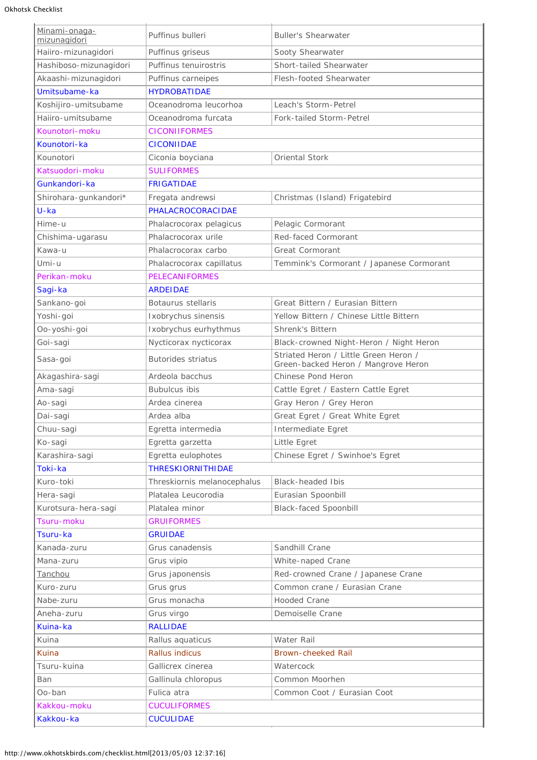| Minami-onaga-<br>mizunagidori | Puffinus bulleri                             | <b>Buller's Shearwater</b>                                                   |  |
|-------------------------------|----------------------------------------------|------------------------------------------------------------------------------|--|
| Haiiro-mizunagidori           | Puffinus griseus                             | Sooty Shearwater                                                             |  |
| Hashiboso-mizunagidori        | Puffinus tenuirostris                        | Short-tailed Shearwater                                                      |  |
| Akaashi-mizunagidori          | Puffinus carneipes                           | Flesh-footed Shearwater                                                      |  |
| Umitsubame-ka                 | <b>HYDROBATIDAE</b>                          |                                                                              |  |
| Koshijiro-umitsubame          | Oceanodroma leucorhoa                        | Leach's Storm-Petrel                                                         |  |
| Haiiro-umitsubame             | Oceanodroma furcata                          | Fork-tailed Storm-Petrel                                                     |  |
| Kounotori-moku                | <b>CICONIIFORMES</b>                         |                                                                              |  |
| Kounotori-ka                  | <b>CICONIIDAE</b>                            |                                                                              |  |
| Kounotori                     | Ciconia boyciana                             | Oriental Stork                                                               |  |
| Katsuodori-moku               | <b>SULIFORMES</b>                            |                                                                              |  |
| Gunkandori-ka                 | <b>FRIGATIDAE</b>                            |                                                                              |  |
| Shirohara-gunkandori*         | Fregata andrewsi                             | Christmas (Island) Frigatebird                                               |  |
| $U$ -ka                       | PHALACROCORACIDAE                            |                                                                              |  |
| Hime-u                        | Phalacrocorax pelagicus                      | Pelagic Cormorant                                                            |  |
| Chishima-ugarasu              | Phalacrocorax urile                          | Red-faced Cormorant                                                          |  |
| Kawa-u                        | Phalacrocorax carbo                          | Great Cormorant                                                              |  |
| Umi-u                         | Phalacrocorax capillatus                     | Temmink's Cormorant / Japanese Cormorant                                     |  |
| Perikan-moku                  |                                              |                                                                              |  |
| Sagi-ka                       | <b>PELECANIFORMES</b><br><b>ARDEIDAE</b>     |                                                                              |  |
| Sankano-goi                   | Botaurus stellaris                           | Great Bittern / Eurasian Bittern                                             |  |
|                               |                                              | Yellow Bittern / Chinese Little Bittern                                      |  |
| Yoshi-goi<br>Oo-yoshi-goi     | Ixobrychus sinensis<br>Ixobrychus eurhythmus | Shrenk's Bittern                                                             |  |
|                               |                                              |                                                                              |  |
| Goi-sagi                      | Nycticorax nycticorax                        | Black-crowned Night-Heron / Night Heron                                      |  |
| Sasa-goi                      | <b>Butorides striatus</b>                    | Striated Heron / Little Green Heron /<br>Green-backed Heron / Mangrove Heron |  |
| Akagashira-sagi               | Ardeola bacchus                              | Chinese Pond Heron                                                           |  |
| Ama-sagi                      | <b>Bubulcus ibis</b>                         | Cattle Egret / Eastern Cattle Egret                                          |  |
| Ao-sagi                       | Ardea cinerea                                | Gray Heron / Grey Heron                                                      |  |
| Dai-sagi                      | Ardea alba                                   | Great Egret / Great White Egret                                              |  |
| Chuu-sagi                     | Egretta intermedia                           | Intermediate Egret                                                           |  |
| Ko-sagi                       | Egretta garzetta                             | Little Egret                                                                 |  |
| Karashira-sagi                | Egretta eulophotes                           | Chinese Egret / Swinhoe's Egret                                              |  |
| Toki-ka                       | <b>THRESKIORNITHIDAE</b>                     |                                                                              |  |
| Kuro-toki                     | Threskiornis melanocephalus                  | <b>Black-headed Ibis</b>                                                     |  |
| Hera-sagi                     | Platalea Leucorodia                          | Eurasian Spoonbill                                                           |  |
| Kurotsura-hera-sagi           | Platalea minor                               | <b>Black-faced Spoonbill</b>                                                 |  |
| Tsuru-moku                    | <b>GRUIFORMES</b>                            |                                                                              |  |
| Tsuru-ka                      | <b>GRUIDAE</b>                               |                                                                              |  |
| Kanada-zuru                   | Grus canadensis                              | Sandhill Crane                                                               |  |
| Mana-zuru                     | Grus vipio                                   | White-naped Crane                                                            |  |
| Tanchou                       | Grus japonensis                              | Red-crowned Crane / Japanese Crane                                           |  |
| Kuro-zuru                     | Grus grus                                    | Common crane / Eurasian Crane                                                |  |
| Nabe-zuru                     | Grus monacha                                 | <b>Hooded Crane</b>                                                          |  |
| Aneha-zuru                    | Grus virgo                                   | Demoiselle Crane                                                             |  |
| Kuina-ka                      | <b>RALLIDAE</b>                              |                                                                              |  |
| Kuina                         | Rallus aquaticus                             | Water Rail                                                                   |  |
| Kuina                         | <b>Rallus indicus</b>                        | Brown-cheeked Rail                                                           |  |
| Tsuru-kuina                   | Gallicrex cinerea                            | Watercock                                                                    |  |
| Ban                           | Gallinula chloropus                          | Common Moorhen                                                               |  |
| Oo-ban                        | Fulica atra<br>Common Coot / Eurasian Coot   |                                                                              |  |
| Kakkou-moku                   | <b>CUCULIFORMES</b>                          |                                                                              |  |
| Kakkou-ka                     | <b>CUCULIDAE</b>                             |                                                                              |  |
|                               |                                              |                                                                              |  |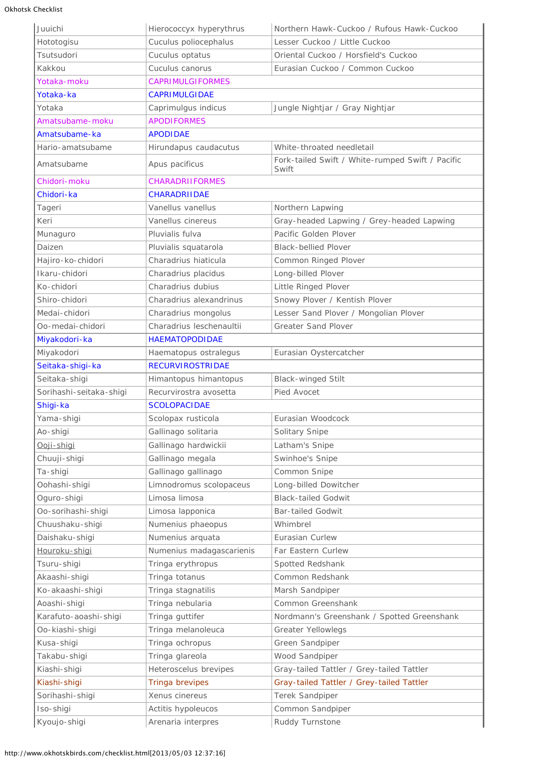| Juuichi                 | Hierococcyx hyperythrus                                | Northern Hawk-Cuckoo / Rufous Hawk-Cuckoo                 |  |
|-------------------------|--------------------------------------------------------|-----------------------------------------------------------|--|
| Hototogisu              | Cuculus poliocephalus                                  | Lesser Cuckoo / Little Cuckoo                             |  |
| Tsutsudori              | Cuculus optatus                                        | Oriental Cuckoo / Horsfield's Cuckoo                      |  |
| Kakkou                  | Cuculus canorus                                        | Eurasian Cuckoo / Common Cuckoo                           |  |
| Yotaka-moku             | <b>CAPRIMULGIFORMES</b>                                |                                                           |  |
| Yotaka-ka               | <b>CAPRIMULGIDAE</b>                                   |                                                           |  |
| Yotaka                  | Jungle Nightjar / Gray Nightjar<br>Caprimulgus indicus |                                                           |  |
| Amatsubame-moku         | <b>APODIFORMES</b>                                     |                                                           |  |
| Amatsubame-ka           | <b>APODIDAE</b>                                        |                                                           |  |
| Hario-amatsubame        | Hirundapus caudacutus                                  | White-throated needletail                                 |  |
| Amatsubame              | Apus pacificus                                         | Fork-tailed Swift / White-rumped Swift / Pacific<br>Swift |  |
| Chidori-moku            | <b>CHARADRIIFORMES</b>                                 |                                                           |  |
| Chidori-ka              | <b>CHARADRIIDAE</b>                                    |                                                           |  |
| Tageri                  | Vanellus vanellus                                      | Northern Lapwing                                          |  |
| Keri                    | Vanellus cinereus                                      | Gray-headed Lapwing / Grey-headed Lapwing                 |  |
| Munaguro                | Pluvialis fulva                                        | Pacific Golden Plover                                     |  |
| Daizen                  | Pluvialis squatarola                                   | <b>Black-bellied Plover</b>                               |  |
| Hajiro-ko-chidori       | Charadrius hiaticula                                   | Common Ringed Plover                                      |  |
| Ikaru-chidori           | Charadrius placidus                                    | Long-billed Plover                                        |  |
| Ko-chidori              | Charadrius dubius                                      | Little Ringed Plover                                      |  |
| Shiro-chidori           | Charadrius alexandrinus                                | Snowy Plover / Kentish Plover                             |  |
| Medai-chidori           | Charadrius mongolus                                    | Lesser Sand Plover / Mongolian Plover                     |  |
| Oo-medai-chidori        | Charadrius leschenaultii                               | <b>Greater Sand Plover</b>                                |  |
|                         | <b>HAEMATOPODIDAE</b>                                  |                                                           |  |
| Miyakodori-ka           |                                                        |                                                           |  |
| Miyakodori              | Haematopus ostralegus                                  | Eurasian Oystercatcher                                    |  |
| Seitaka-shigi-ka        | <b>RECURVIROSTRIDAE</b>                                |                                                           |  |
| Seitaka-shigi           | Himantopus himantopus                                  | <b>Black-winged Stilt</b>                                 |  |
| Sorihashi-seitaka-shigi | Recurvirostra avosetta<br>Pied Avocet                  |                                                           |  |
| Shigi-ka                | <b>SCOLOPACIDAE</b>                                    |                                                           |  |
| Yama-shigi              | Scolopax rusticola<br>Eurasian Woodcock                |                                                           |  |
| Ao-shigi                | Gallinago solitaria                                    | Solitary Snipe                                            |  |
| Ooji-shigi              | Gallinago hardwickii                                   | Latham's Snipe                                            |  |
| Chuuji-shigi            | Gallinago megala                                       | Swinhoe's Snipe                                           |  |
| Ta-shigi                | Gallinago gallinago                                    | Common Snipe                                              |  |
| Oohashi-shigi           | Limnodromus scolopaceus                                | Long-billed Dowitcher                                     |  |
| Oguro-shigi             | Limosa limosa                                          | <b>Black-tailed Godwit</b>                                |  |
| Oo-sorihashi-shigi      | Limosa lapponica                                       | <b>Bar-tailed Godwit</b>                                  |  |
| Chuushaku-shigi         | Numenius phaeopus                                      | Whimbrel                                                  |  |
| Daishaku-shigi          | Numenius arquata                                       | Eurasian Curlew                                           |  |
| Houroku-shigi           | Numenius madagascarienis                               | Far Eastern Curlew                                        |  |
| Tsuru-shigi             | Tringa erythropus                                      | Spotted Redshank                                          |  |
| Akaashi-shigi           | Tringa totanus                                         | Common Redshank                                           |  |
| Ko-akaashi-shigi        | Tringa stagnatilis                                     | Marsh Sandpiper                                           |  |
| Aoashi-shigi            | Tringa nebularia                                       | Common Greenshank                                         |  |
| Karafuto-aoashi-shigi   | Tringa guttifer                                        | Nordmann's Greenshank / Spotted Greenshank                |  |
| Oo-kiashi-shigi         | Tringa melanoleuca                                     | <b>Greater Yellowlegs</b>                                 |  |
| Kusa-shigi              | Tringa ochropus                                        | Green Sandpiper                                           |  |
| Takabu-shigi            | Tringa glareola                                        | Wood Sandpiper                                            |  |
| Kiashi-shigi            | Heteroscelus brevipes                                  | Gray-tailed Tattler / Grey-tailed Tattler                 |  |
| Kiashi-shigi            | Tringa brevipes                                        | Gray-tailed Tattler / Grey-tailed Tattler                 |  |
| Sorihashi-shigi         | Xenus cinereus                                         | Terek Sandpiper                                           |  |
| Iso-shigi               | Actitis hypoleucos                                     | Common Sandpiper                                          |  |
| Kyoujo-shigi            | Arenaria interpres                                     |                                                           |  |
|                         |                                                        | Ruddy Turnstone                                           |  |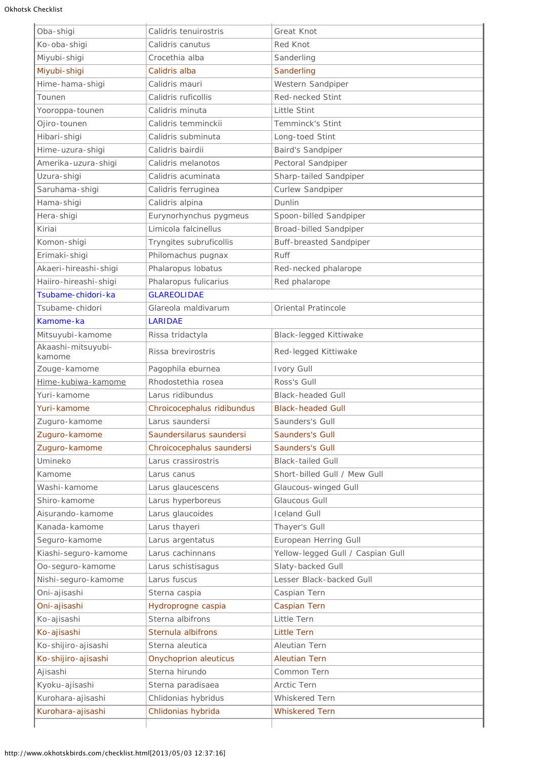| Oba-shigi                    | Calidris tenuirostris        | Great Knot                        |  |
|------------------------------|------------------------------|-----------------------------------|--|
| Ko-oba-shigi                 | Calidris canutus             | <b>Red Knot</b>                   |  |
| Miyubi-shigi                 | Crocethia alba               | Sanderling                        |  |
| Miyubi-shigi                 | Calidris alba                | Sanderling                        |  |
| Hime-hama-shigi              | Calidris mauri               | Western Sandpiper                 |  |
| Tounen                       | Calidris ruficollis          | Red-necked Stint                  |  |
| Yooroppa-tounen              | Calidris minuta              | Little Stint                      |  |
| Ojiro-tounen                 | Calidris temminckii          | Temminck's Stint                  |  |
| Hibari-shigi                 | Calidris subminuta           | Long-toed Stint                   |  |
| Hime-uzura-shigi             | Calidris bairdii             | Baird's Sandpiper                 |  |
| Amerika-uzura-shigi          | Calidris melanotos           | Pectoral Sandpiper                |  |
| Uzura-shigi                  | Calidris acuminata           | Sharp-tailed Sandpiper            |  |
| Saruhama-shigi               | Calidris ferruginea          | Curlew Sandpiper                  |  |
| Hama-shigi                   | Calidris alpina              | Dunlin                            |  |
| Hera-shigi                   | Eurynorhynchus pygmeus       | Spoon-billed Sandpiper            |  |
| Kiriai                       | Limicola falcinellus         | Broad-billed Sandpiper            |  |
| Komon-shigi                  | Tryngites subruficollis      | <b>Buff-breasted Sandpiper</b>    |  |
| Erimaki-shigi                | Philomachus pugnax           | <b>Ruff</b>                       |  |
| Akaeri-hireashi-shigi        | Phalaropus lobatus           | Red-necked phalarope              |  |
| Haiiro-hireashi-shigi        | Phalaropus fulicarius        | Red phalarope                     |  |
| Tsubame-chidori-ka           | <b>GLAREOLIDAE</b>           |                                   |  |
| Tsubame-chidori              | Glareola maldivarum          | Oriental Pratincole               |  |
| Kamome-ka                    | <b>LARIDAE</b>               |                                   |  |
| Mitsuyubi-kamome             | Rissa tridactyla             | <b>Black-legged Kittiwake</b>     |  |
| Akaashi-mitsuyubi-<br>kamome | Rissa brevirostris           | Red-legged Kittiwake              |  |
| Zouge-kamome                 | Pagophila eburnea            | Ivory Gull                        |  |
| Hime-kubiwa-kamome           | Rhodostethia rosea           | Ross's Gull                       |  |
| Yuri-kamome                  | Larus ridibundus             | <b>Black-headed Gull</b>          |  |
| Yuri-kamome                  | Chroicocephalus ridibundus   | <b>Black-headed Gull</b>          |  |
| Zuguro-kamome                | Larus saundersi              | Saunders's Gull                   |  |
| Zuguro-kamome                | Saundersilarus saundersi     | Saunders's Gull                   |  |
| Zuguro-kamome                | Chroicocephalus saundersi    | Saunders's Gull                   |  |
| Umineko                      | Larus crassirostris          | <b>Black-tailed Gull</b>          |  |
| Kamome                       | Larus canus                  | Short-billed Gull / Mew Gull      |  |
| Washi-kamome                 | Larus glaucescens            | Glaucous-winged Gull              |  |
| Shiro-kamome                 | Larus hyperboreus            | Glaucous Gull                     |  |
| Aisurando-kamome             | Larus glaucoides             | <b>Iceland Gull</b>               |  |
| Kanada-kamome                | Larus thayeri                | Thayer's Gull                     |  |
| Seguro-kamome                | Larus argentatus             | European Herring Gull             |  |
| Kiashi-seguro-kamome         | Larus cachinnans             | Yellow-legged Gull / Caspian Gull |  |
| Oo-seguro-kamome             | Larus schistisagus           | Slaty-backed Gull                 |  |
| Nishi-seguro-kamome          | Larus fuscus                 | Lesser Black-backed Gull          |  |
| Oni-ajisashi                 | Sterna caspia                | Caspian Tern                      |  |
| Oni-ajisashi                 | Hydroprogne caspia           | Caspian Tern                      |  |
| Ko-ajisashi                  | Sterna albifrons             | Little Tern                       |  |
| Ko-ajisashi                  | Sternula albifrons           | <b>Little Tern</b>                |  |
| Ko-shijiro-ajisashi          | Sterna aleutica              | Aleutian Tern                     |  |
| Ko-shijiro-ajisashi          | <b>Onychoprion aleuticus</b> | <b>Aleutian Tern</b>              |  |
| Ajisashi                     | Sterna hirundo               | Common Tern                       |  |
| Kyoku-ajisashi               | Sterna paradisaea            | Arctic Tern                       |  |
| Kurohara-ajisashi            | Chlidonias hybridus          | Whiskered Tern                    |  |
| Kurohara-ajisashi            | Chlidonias hybrida           | <b>Whiskered Tern</b>             |  |
|                              |                              |                                   |  |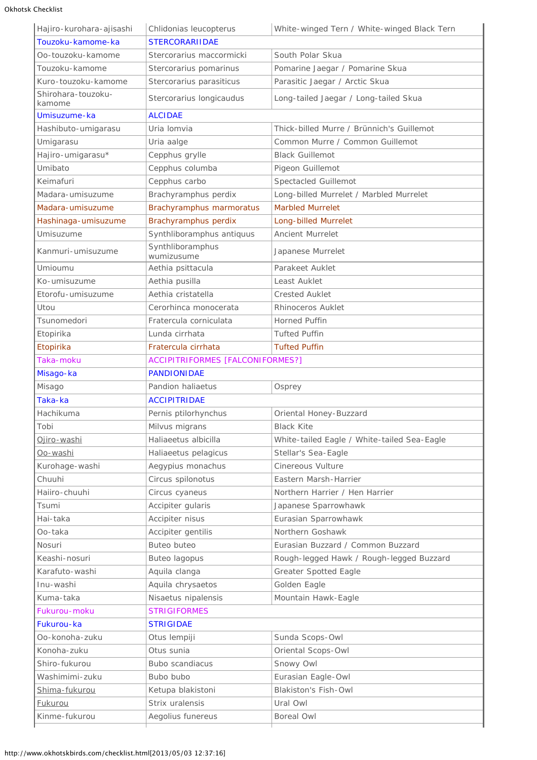| Hajiro-kurohara-ajisashi     | White-winged Tern / White-winged Black Tern<br>Chlidonias leucopterus |                                             |  |
|------------------------------|-----------------------------------------------------------------------|---------------------------------------------|--|
| Touzoku-kamome-ka            | <b>STERCORARIIDAE</b>                                                 |                                             |  |
| Oo-touzoku-kamome            | South Polar Skua<br>Stercorarius maccormicki                          |                                             |  |
| Touzoku-kamome               | Stercorarius pomarinus                                                | Pomarine Jaegar / Pomarine Skua             |  |
| Kuro-touzoku-kamome          | Stercorarius parasiticus                                              | Parasitic Jaegar / Arctic Skua              |  |
| Shirohara-touzoku-<br>kamome | Stercorarius longicaudus                                              | Long-tailed Jaegar / Long-tailed Skua       |  |
| Umisuzume-ka                 | <b>ALCIDAE</b>                                                        |                                             |  |
| Hashibuto-umigarasu          | Uria lomvia                                                           | Thick-billed Murre / Brünnich's Guillemot   |  |
| Umigarasu                    | Uria aalge                                                            | Common Murre / Common Guillemot             |  |
| Hajiro-umigarasu*            | Cepphus grylle                                                        | <b>Black Guillemot</b>                      |  |
| Umibato                      | Cepphus columba                                                       | Pigeon Guillemot                            |  |
| Keimafuri                    | Cepphus carbo                                                         | Spectacled Guillemot                        |  |
| Madara-umisuzume             | Brachyramphus perdix                                                  | Long-billed Murrelet / Marbled Murrelet     |  |
| Madara-umisuzume             | Brachyramphus marmoratus                                              | <b>Marbled Murrelet</b>                     |  |
| Hashinaga-umisuzume          | Brachyramphus perdix                                                  | Long-billed Murrelet                        |  |
| Umisuzume                    | Synthliboramphus antiquus                                             | Ancient Murrelet                            |  |
| Kanmuri-umisuzume            | Synthliboramphus<br>wumizusume                                        | Japanese Murrelet                           |  |
| Umioumu                      | Aethia psittacula                                                     | Parakeet Auklet                             |  |
| Ko-umisuzume                 | Aethia pusilla                                                        | Least Auklet                                |  |
| Etorofu-umisuzume            | Aethia cristatella                                                    | <b>Crested Auklet</b>                       |  |
| Utou                         | Cerorhinca monocerata                                                 | Rhinoceros Auklet                           |  |
| Tsunomedori                  | Fratercula corniculata                                                | <b>Horned Puffin</b>                        |  |
| Etopirika                    | Lunda cirrhata                                                        | <b>Tufted Puffin</b>                        |  |
| Etopirika                    | Fratercula cirrhata                                                   | <b>Tufted Puffin</b>                        |  |
| Taka-moku                    | <b>ACCIPITRIFORMES [FALCONIFORMES?]</b>                               |                                             |  |
| Misago-ka                    | <b>PANDIONIDAE</b>                                                    |                                             |  |
| Misago                       | Pandion haliaetus                                                     | Osprey                                      |  |
| Taka-ka                      | <b>ACCIPITRIDAE</b>                                                   |                                             |  |
| Hachikuma                    | Pernis ptilorhynchus                                                  | Oriental Honey-Buzzard                      |  |
| Tobi                         | Milvus migrans                                                        | <b>Black Kite</b>                           |  |
| Ojiro-washi                  | Haliaeetus albicilla                                                  | White-tailed Eagle / White-tailed Sea-Eagle |  |
| Oo-washi                     | Haliaeetus pelagicus                                                  | Stellar's Sea-Eagle                         |  |
| Kurohage-washi               | Aegypius monachus                                                     | <b>Cinereous Vulture</b>                    |  |
| Chuuhi                       | Circus spilonotus                                                     | Eastern Marsh-Harrier                       |  |
| Haiiro-chuuhi                | Circus cyaneus                                                        | Northern Harrier / Hen Harrier              |  |
| Tsumi                        | Accipiter gularis                                                     | Japanese Sparrowhawk                        |  |
| Hai-taka                     | Accipiter nisus                                                       | Eurasian Sparrowhawk                        |  |
| Oo-taka                      | Accipiter gentilis                                                    | Northern Goshawk                            |  |
| Nosuri                       | <b>Buteo buteo</b>                                                    | Eurasian Buzzard / Common Buzzard           |  |
| Keashi-nosuri                | <b>Buteo lagopus</b>                                                  | Rough-legged Hawk / Rough-legged Buzzard    |  |
| Karafuto-washi               | Aquila clanga                                                         | <b>Greater Spotted Eagle</b>                |  |
| Inu-washi                    | Aquila chrysaetos                                                     | Golden Eagle                                |  |
| Kuma-taka                    | Nisaetus nipalensis                                                   | Mountain Hawk-Eagle                         |  |
| Fukurou-moku                 | <b>STRIGIFORMES</b>                                                   |                                             |  |
| Fukurou-ka                   | <b>STRIGIDAE</b>                                                      |                                             |  |
| Oo-konoha-zuku               | Otus lempiji                                                          | Sunda Scops-Owl                             |  |
| Konoha-zuku                  | Otus sunia                                                            | Oriental Scops-Owl                          |  |
| Shiro-fukurou                | <b>Bubo scandiacus</b>                                                | Snowy Owl                                   |  |
| Washimimi-zuku               | Bubo bubo                                                             | Eurasian Eagle-Owl                          |  |
| Shima-fukurou                | Ketupa blakistoni                                                     | Blakiston's Fish-Owl                        |  |
| <b>Fukurou</b>               | Strix uralensis                                                       | Ural Owl                                    |  |
| Kinme-fukurou                | Aegolius funereus                                                     | <b>Boreal Owl</b>                           |  |
|                              |                                                                       |                                             |  |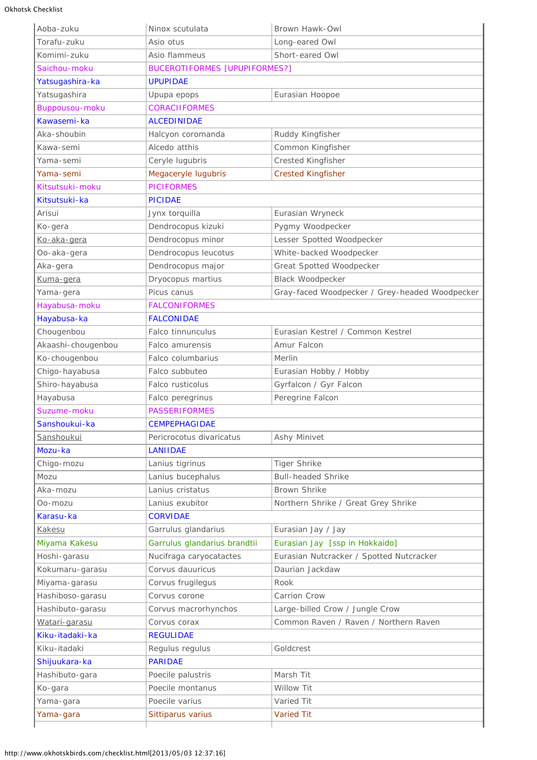| Aoba-zuku          | Ninox scutulata                           | Brown Hawk-Owl                                 |  |  |
|--------------------|-------------------------------------------|------------------------------------------------|--|--|
| Torafu-zuku        | Asio otus                                 | Long-eared Owl                                 |  |  |
| Komimi-zuku        | Asio flammeus                             | Short-eared Owl                                |  |  |
| Saichou-moku       | <b>BUCEROTIFORMES [UPUPIFORMES?]</b>      |                                                |  |  |
| Yatsugashira-ka    | <b>UPUPIDAE</b>                           |                                                |  |  |
| Yatsugashira       | Eurasian Hoopoe<br>Upupa epops            |                                                |  |  |
| Buppousou-moku     | <b>CORACIIFORMES</b>                      |                                                |  |  |
| Kawasemi-ka        | <b>ALCEDINIDAE</b>                        |                                                |  |  |
| Aka-shoubin        | Halcyon coromanda                         | Ruddy Kingfisher                               |  |  |
| Kawa-semi          | Alcedo atthis                             | Common Kingfisher                              |  |  |
| Yama-semi          | Ceryle lugubris                           | Crested Kingfisher                             |  |  |
| Yama-semi          | Megaceryle lugubris                       | <b>Crested Kingfisher</b>                      |  |  |
| Kitsutsuki-moku    | <b>PICIFORMES</b>                         |                                                |  |  |
| Kitsutsuki-ka      | <b>PICIDAE</b>                            |                                                |  |  |
| Arisui             | Jynx torquilla                            | Eurasian Wryneck                               |  |  |
| Ko-gera            | Dendrocopus kizuki                        | Pygmy Woodpecker                               |  |  |
| Ko-aka-gera        | Dendrocopus minor                         | Lesser Spotted Woodpecker                      |  |  |
| Oo-aka-gera        | Dendrocopus leucotus                      | White-backed Woodpecker                        |  |  |
| Aka-gera           | Dendrocopus major                         | Great Spotted Woodpecker                       |  |  |
| Kuma-gera          | Dryocopus martius                         | Black Woodpecker                               |  |  |
| Yama-gera          | Picus canus                               | Gray-faced Woodpecker / Grey-headed Woodpecker |  |  |
| Hayabusa-moku      | <b>FALCONIFORMES</b>                      |                                                |  |  |
| Hayabusa-ka        | <b>FALCONIDAE</b>                         |                                                |  |  |
| Chougenbou         | Falco tinnunculus                         | Eurasian Kestrel / Common Kestrel              |  |  |
| Akaashi-chougenbou | Falco amurensis                           | Amur Falcon                                    |  |  |
| Ko-chougenbou      | Falco columbarius                         | Merlin                                         |  |  |
| Chigo-hayabusa     | Falco subbuteo                            | Eurasian Hobby / Hobby                         |  |  |
| Shiro-hayabusa     | Falco rusticolus                          | Gyrfalcon / Gyr Falcon                         |  |  |
| Hayabusa           | Falco peregrinus                          | Peregrine Falcon                               |  |  |
| Suzume-moku        | <b>PASSERIFORMES</b>                      |                                                |  |  |
| Sanshoukui-ka      | <b>CEMPEPHAGIDAE</b>                      |                                                |  |  |
| Sanshoukui         | Pericrocotus divaricatus                  | Ashy Minivet                                   |  |  |
| Mozu-ka            | <b>LANIIDAE</b>                           |                                                |  |  |
| Chigo-mozu         | Lanius tigrinus                           | <b>Tiger Shrike</b>                            |  |  |
| Mozu               | Lanius bucephalus                         | <b>Bull-headed Shrike</b>                      |  |  |
| Aka-mozu           | Lanius cristatus                          | Brown Shrike                                   |  |  |
| Oo-mozu            | Lanius exubitor                           | Northern Shrike / Great Grey Shrike            |  |  |
| Karasu-ka          | <b>CORVIDAE</b>                           |                                                |  |  |
| Kakesu             | Garrulus glandarius<br>Eurasian Jay / Jay |                                                |  |  |
| Miyama Kakesu      | Garrulus glandarius brandtii              | Eurasian Jay [ssp in Hokkaido]                 |  |  |
| Hoshi-garasu       | Nucifraga caryocatactes                   | Eurasian Nutcracker / Spotted Nutcracker       |  |  |
| Kokumaru-garasu    | Corvus dauuricus                          | Daurian Jackdaw                                |  |  |
| Miyama-garasu      | Corvus frugilegus                         | Rook                                           |  |  |
| Hashiboso-garasu   | Corvus corone                             | Carrion Crow                                   |  |  |
| Hashibuto-garasu   | Corvus macrorhynchos                      | Large-billed Crow / Jungle Crow                |  |  |
| Watari-garasu      | Corvus corax                              | Common Raven / Raven / Northern Raven          |  |  |
| Kiku-itadaki-ka    | <b>REGULIDAE</b>                          |                                                |  |  |
| Kiku-itadaki       | Regulus regulus                           | Goldcrest                                      |  |  |
| Shijuukara-ka      | <b>PARIDAE</b>                            |                                                |  |  |
| Hashibuto-gara     | Poecile palustris                         | Marsh Tit                                      |  |  |
| Ko-gara            | Poecile montanus                          | Willow Tit                                     |  |  |
| Yama-gara          | Poecile varius                            | Varied Tit                                     |  |  |
| Yama-gara          | Sittiparus varius                         | <b>Varied Tit</b>                              |  |  |
|                    |                                           |                                                |  |  |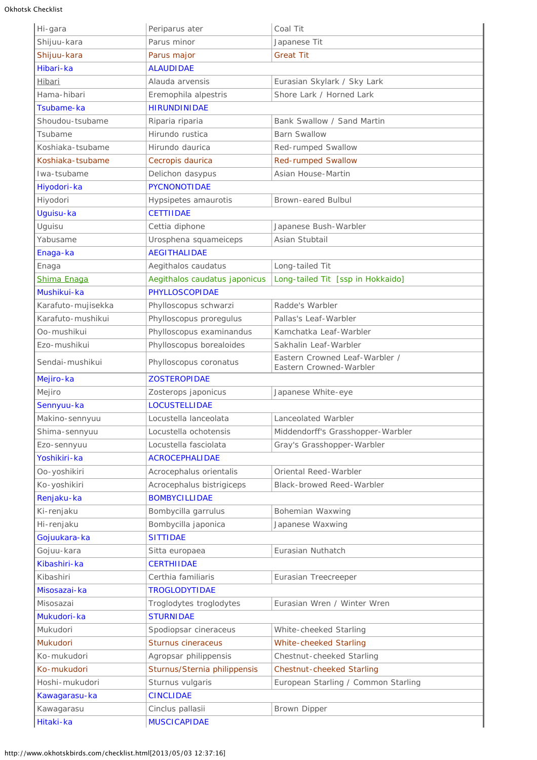Okhotsk Checklist

| Hi-gara            | Periparus ater                                 | Coal Tit                                                  |  |
|--------------------|------------------------------------------------|-----------------------------------------------------------|--|
| Shijuu-kara        | Parus minor                                    | Japanese Tit                                              |  |
| Shijuu-kara        | Parus major                                    | <b>Great Tit</b>                                          |  |
| Hibari-ka          | <b>ALAUDIDAE</b>                               |                                                           |  |
| Hibari             | Alauda arvensis<br>Eurasian Skylark / Sky Lark |                                                           |  |
| Hama-hibari        | Eremophila alpestris                           | Shore Lark / Horned Lark                                  |  |
| Tsubame-ka         | <b>HIRUNDINIDAE</b>                            |                                                           |  |
| Shoudou-tsubame    | Riparia riparia                                | Bank Swallow / Sand Martin                                |  |
| Tsubame            | Hirundo rustica                                | <b>Barn Swallow</b>                                       |  |
| Koshiaka-tsubame   | Hirundo daurica                                | Red-rumped Swallow                                        |  |
| Koshiaka-tsubame   | Cecropis daurica                               | <b>Red-rumped Swallow</b>                                 |  |
| Iwa-tsubame        | Delichon dasypus                               | Asian House-Martin                                        |  |
| Hiyodori-ka        | <b>PYCNONOTIDAE</b>                            |                                                           |  |
| Hiyodori           | Hypsipetes amaurotis                           | Brown-eared Bulbul                                        |  |
| Uguisu-ka          | <b>CETTIIDAE</b>                               |                                                           |  |
| Uguisu             | Cettia diphone                                 | Japanese Bush-Warbler                                     |  |
| Yabusame           | Urosphena squameiceps                          | Asian Stubtail                                            |  |
| Enaga-ka           | <b>AEGITHALIDAE</b>                            |                                                           |  |
| Enaga              | Aegithalos caudatus                            | Long-tailed Tit                                           |  |
| Shima Enaga        | Aegithalos caudatus japonicus                  | Long-tailed Tit [ssp in Hokkaido]                         |  |
| Mushikui-ka        | <b>PHYLLOSCOPIDAE</b>                          |                                                           |  |
| Karafuto-mujisekka | Phylloscopus schwarzi                          | Radde's Warbler                                           |  |
| Karafuto-mushikui  | Phylloscopus proregulus                        | Pallas's Leaf-Warbler                                     |  |
| Oo-mushikui        | Phylloscopus examinandus                       | Kamchatka Leaf-Warbler                                    |  |
| Ezo-mushikui       | Phylloscopus borealoides                       | Sakhalin Leaf-Warbler                                     |  |
| Sendai-mushikui    | Phylloscopus coronatus                         | Eastern Crowned Leaf-Warbler /<br>Eastern Crowned-Warbler |  |
| Mejiro-ka          | <b>ZOSTEROPIDAE</b>                            |                                                           |  |
| Mejiro             | Zosterops japonicus                            | Japanese White-eye                                        |  |
| Sennyuu-ka         | <b>LOCUSTELLIDAE</b>                           |                                                           |  |
| Makino-sennyuu     | Locustella lanceolata                          | Lanceolated Warbler                                       |  |
| Shima-sennyuu      | Locustella ochotensis                          | Middendorff's Grasshopper-Warbler                         |  |
| Ezo-sennyuu        | Locustella fasciolata                          | Gray's Grasshopper-Warbler                                |  |
| Yoshikiri-ka       | <b>ACROCEPHALIDAE</b>                          |                                                           |  |
| Oo-yoshikiri       | Acrocephalus orientalis                        | Oriental Reed-Warbler                                     |  |
| Ko-yoshikiri       | Acrocephalus bistrigiceps                      | Black-browed Reed-Warbler                                 |  |
| Renjaku-ka         | <b>BOMBYCILLIDAE</b>                           |                                                           |  |
| Ki-renjaku         | Bombycilla garrulus                            | Bohemian Waxwing                                          |  |
| Hi-renjaku         | Bombycilla japonica                            | Japanese Waxwing                                          |  |
| Gojuukara-ka       | <b>SITTIDAE</b>                                |                                                           |  |
| Gojuu-kara         | Sitta europaea                                 | Eurasian Nuthatch                                         |  |
| Kibashiri-ka       | <b>CERTHIIDAE</b>                              |                                                           |  |
| Kibashiri          | Certhia familiaris                             | Eurasian Treecreeper                                      |  |
| Misosazai-ka       | <b>TROGLODYTIDAE</b>                           |                                                           |  |
| Misosazai          | Troglodytes troglodytes                        | Eurasian Wren / Winter Wren                               |  |
| Mukudori-ka        | <b>STURNIDAE</b>                               |                                                           |  |
| Mukudori           | Spodiopsar cineraceus                          | White-cheeked Starling                                    |  |
| Mukudori           | Sturnus cineraceus                             | White-cheeked Starling                                    |  |
| Ko-mukudori        | Agropsar philippensis                          | Chestnut-cheeked Starling                                 |  |
| Ko-mukudori        | Sturnus/Sternia philippensis                   | <b>Chestnut-cheeked Starling</b>                          |  |
| Hoshi-mukudori     | Sturnus vulgaris                               | European Starling / Common Starling                       |  |
| Kawagarasu-ka      | <b>CINCLIDAE</b>                               |                                                           |  |
| Kawagarasu         | Cinclus pallasii                               | Brown Dipper                                              |  |
| Hitaki-ka          | <b>MUSCICAPIDAE</b>                            |                                                           |  |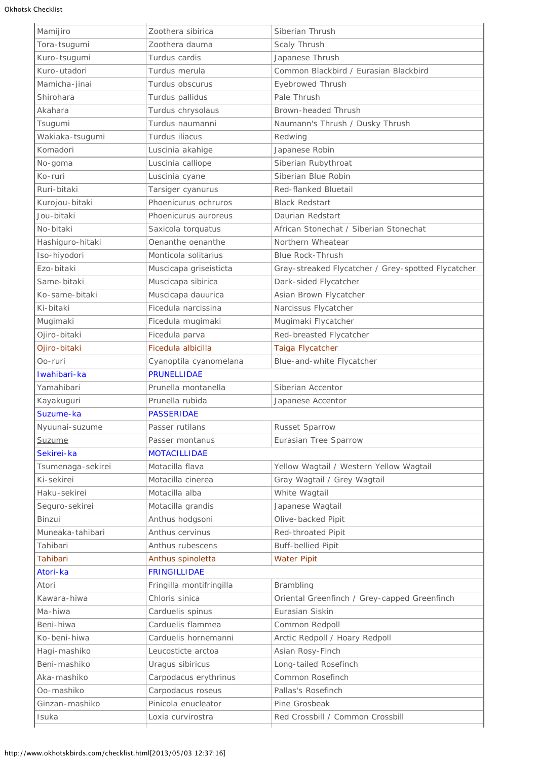| Mamijiro          | Zoothera sibirica        | Siberian Thrush                                    |  |
|-------------------|--------------------------|----------------------------------------------------|--|
| Tora-tsugumi      | Zoothera dauma           | Scaly Thrush                                       |  |
| Kuro-tsugumi      | Turdus cardis            | Japanese Thrush                                    |  |
| Kuro-utadori      | Turdus merula            | Common Blackbird / Eurasian Blackbird              |  |
| Mamicha-jinai     | Turdus obscurus          | <b>Eyebrowed Thrush</b>                            |  |
| Shirohara         | Turdus pallidus          | Pale Thrush                                        |  |
| Akahara           | Turdus chrysolaus        | Brown-headed Thrush                                |  |
| Tsugumi           | Turdus naumanni          | Naumann's Thrush / Dusky Thrush                    |  |
| Wakiaka-tsugumi   | Turdus iliacus           | Redwing                                            |  |
| Komadori          | Luscinia akahige         | Japanese Robin                                     |  |
| No-goma           | Luscinia calliope        | Siberian Rubythroat                                |  |
| Ko-ruri           | Luscinia cyane           | Siberian Blue Robin                                |  |
| Ruri-bitaki       | Tarsiger cyanurus        | Red-flanked Bluetail                               |  |
| Kurojou-bitaki    | Phoenicurus ochruros     | <b>Black Redstart</b>                              |  |
| Jou-bitaki        | Phoenicurus auroreus     | Daurian Redstart                                   |  |
| No-bitaki         | Saxicola torquatus       | African Stonechat / Siberian Stonechat             |  |
| Hashiguro-hitaki  | Oenanthe oenanthe        | Northern Wheatear                                  |  |
| Iso-hiyodori      | Monticola solitarius     | <b>Blue Rock-Thrush</b>                            |  |
| Ezo-bitaki        | Muscicapa griseisticta   | Gray-streaked Flycatcher / Grey-spotted Flycatcher |  |
| Same-bitaki       | Muscicapa sibirica       | Dark-sided Flycatcher                              |  |
| Ko-same-bitaki    | Muscicapa dauurica       | Asian Brown Flycatcher                             |  |
| Ki-bitaki         | Ficedula narcissina      | Narcissus Flycatcher                               |  |
| Mugimaki          | Ficedula mugimaki        | Mugimaki Flycatcher                                |  |
| Ojiro-bitaki      | Ficedula parva           | Red-breasted Flycatcher                            |  |
| Ojiro-bitaki      | Ficedula albicilla       | Taiga Flycatcher                                   |  |
| Oo-ruri           | Cyanoptila cyanomelana   | Blue-and-white Flycatcher                          |  |
| Iwahibari-ka      | <b>PRUNELLIDAE</b>       |                                                    |  |
| Yamahibari        | Prunella montanella      | Siberian Accentor                                  |  |
| Kayakuguri        | Prunella rubida          | Japanese Accentor                                  |  |
| Suzume-ka         | <b>PASSERIDAE</b>        |                                                    |  |
| Nyuunai-suzume    | Passer rutilans          | Russet Sparrow                                     |  |
| <u>Suzume</u>     | Passer montanus          | Eurasian Tree Sparrow                              |  |
| Sekirei-ka        | <b>MOTACILLIDAE</b>      |                                                    |  |
| Tsumenaga-sekirei | Motacilla flava          | Yellow Wagtail / Western Yellow Wagtail            |  |
| Ki-sekirei        | Motacilla cinerea        | Gray Wagtail / Grey Wagtail                        |  |
| Haku-sekirei      | Motacilla alba           | White Wagtail                                      |  |
| Seguro-sekirei    | Motacilla grandis        | Japanese Wagtail                                   |  |
| Binzui            | Anthus hodgsoni          | Olive-backed Pipit                                 |  |
| Muneaka-tahibari  | Anthus cervinus          | Red-throated Pipit                                 |  |
| Tahibari          | Anthus rubescens         | <b>Buff-bellied Pipit</b>                          |  |
| <b>Tahibari</b>   | Anthus spinoletta        | <b>Water Pipit</b>                                 |  |
| Atori-ka          | <b>FRINGILLIDAE</b>      |                                                    |  |
| Atori             | Fringilla montifringilla | Brambling                                          |  |
| Kawara-hiwa       | Chloris sinica           | Oriental Greenfinch / Grey-capped Greenfinch       |  |
| Ma-hiwa           | Carduelis spinus         | Eurasian Siskin                                    |  |
| Beni-hiwa         | Carduelis flammea        | Common Redpoll                                     |  |
| Ko-beni-hiwa      | Carduelis hornemanni     | Arctic Redpoll / Hoary Redpoll                     |  |
| Hagi-mashiko      | Leucosticte arctoa       | Asian Rosy-Finch                                   |  |
| Beni-mashiko      | Uragus sibiricus         | Long-tailed Rosefinch                              |  |
| Aka-mashiko       | Carpodacus erythrinus    | Common Rosefinch                                   |  |
| Oo-mashiko        | Carpodacus roseus        | Pallas's Rosefinch                                 |  |
| Ginzan-mashiko    | Pinicola enucleator      |                                                    |  |
|                   |                          | Pine Grosbeak                                      |  |
| Isuka             | Loxia curvirostra        | Red Crossbill / Common Crossbill                   |  |